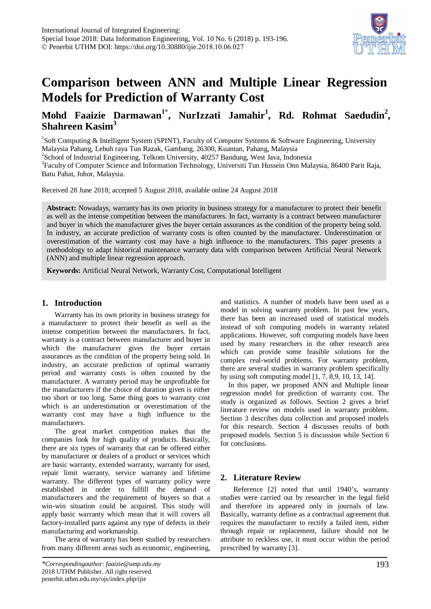

# **Comparison between ANN and Multiple Linear Regression Models for Prediction of Warranty Cost**

# **Mohd Faaizie Darmawan<sup>1</sup>\* , NurIzzati Jamahir<sup>1</sup> , Rd. Rohmat Saedudin<sup>2</sup> , Shahreen Kasim3**

<sup>1</sup>Soft Computing & Intelligent System (SPINT), Faculty of Computer Systems & Software Engineering, University Malaysia Pahang, Lebuh raya Tun Razak, Gambang, 26300, Kuantan, Pahang, Malaysia <sup>2</sup>  $2$ School of Industrial Engineering, Telkom University, 40257 Bandung, West Java, Indonesia <sup>3</sup> Faculty of Computer Science and Information Technology, Universiti Tun Hussein Onn Malaysia, 86400 Parit Raja,

Batu Pahat, Johor, Malaysia.

Received 28 June 2018; accepted 5 August 2018, available online 24 August 2018

**Abstract:** Nowadays, warranty has its own priority in business strategy for a manufacturer to protect their benefit as well as the intense competition between the manufacturers. In fact, warranty is a contract between manufacturer and buyer in which the manufacturer gives the buyer certain assurances as the condition of the property being sold. In industry, an accurate prediction of warranty costs is often counted by the manufacturer. Underestimation or overestimation of the warranty cost may have a high influence to the manufacturers. This paper presents a methodology to adapt historical maintenance warranty data with comparison between Artificial Neural Network (ANN) and multiple linear regression approach.

**Keywords:** Artificial Neural Network, Warranty Cost, Computational Intelligent

# **1. Introduction**

Warranty has its own priority in business strategy for a manufacturer to protect their benefit as well as the intense competition between the manufacturers. In fact, warranty is a contract between manufacturer and buyer in which the manufacturer gives the buyer certain assurances as the condition of the property being sold. In industry, an accurate prediction of optimal warranty period and warranty costs is often counted by the manufacturer. A warranty period may be unprofitable for the manufacturers if the choice of duration given is either too short or too long. Same thing goes to warranty cost which is an underestimation or overestimation of the warranty cost may have a high influence to the manufacturers.

The great market competition makes that the companies look for high quality of products. Basically, there are six types of warranty that can be offered either by manufacturer or dealers of a product or services which are basic warranty, extended warranty, warranty for used, repair limit warranty, service warranty and lifetime warranty. The different types of warranty policy were established in order to fulfill the demand of manufacturers and the requirement of buyers so that a win-win situation could be acquired. This study will apply basic warranty which mean that it will covers all factory-installed parts against any type of defects in their manufacturing and workmanship.

The area of warranty has been studied by researchers from many different areas such as economic, engineering, and statistics. A number of models have been used as a model in solving warranty problem. In past few years, there has been an increased used of statistical models instead of soft computing models in warranty related applications. However, soft computing models have been used by many researchers in the other research area which can provide some feasible solutions for the complex real-world problems. For warranty problem, there are several studies in warranty problem specifically by using soft computing model [1, 7, 8,9, 10, 13, 14].

In this paper, we proposed ANN and Multiple linear regression model for prediction of warranty cost. The study is organized as follows. Section 2 gives a brief literature review on models used in warranty problem. Section 3 describes data collection and proposed models for this research. Section 4 discusses results of both proposed models. Section 5 is discussion while Section 6 for conclusions.

# **2. Literature Review**

Reference [2] noted that until 1940's, warranty studies were carried out by researcher in the legal field and therefore its appeared only in journals of law. Basically, warranty define as a contractual agreement that requires the manufacturer to rectify a failed item, either through repair or replacement, failure should not be attribute to reckless use, it must occur within the period prescribed by warranty [3].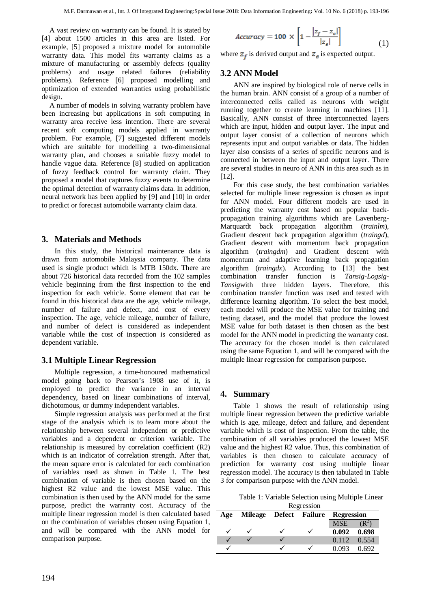A vast review on warranty can be found. It is stated by [4] about 1500 articles in this area are listed. For example, [5] proposed a mixture model for automobile warranty data. This model fits warranty claims as a mixture of manufacturing or assembly defects (quality problems) and usage related failures (reliability problems). Reference [6] proposed modelling and optimization of extended warranties using probabilistic design.

A number of models in solving warranty problem have been increasing but applications in soft computing in warranty area receive less intention. There are several recent soft computing models applied in warranty problem. For example, [7] suggested different models which are suitable for modelling a two-dimensional warranty plan, and chooses a suitable fuzzy model to handle vague data. Reference [8] studied on application of fuzzy feedback control for warranty claim. They proposed a model that captures fuzzy events to determine the optimal detection of warranty claims data. In addition, neural network has been applied by [9] and [10] in order to predict or forecast automobile warranty claim data.

# **3. Materials and Methods**

In this study, the historical maintenance data is drawn from automobile Malaysia company. The data used is single product which is MTB 150dx. There are about 726 historical data recorded from the 102 samples vehicle beginning from the first inspection to the end inspection for each vehicle. Some element that can be found in this historical data are the age, vehicle mileage, number of failure and defect, and cost of every inspection. The age, vehicle mileage, number of failure, and number of defect is considered as independent variable while the cost of inspection is considered as dependent variable.

### **3.1 Multiple Linear Regression**

Multiple regression, a time-honoured mathematical model going back to Pearson's 1908 use of it, is employed to predict the variance in an interval dependency, based on linear combinations of interval, dichotomous, or dummy independent variables.

Simple regression analysis was performed at the first stage of the analysis which is to learn more about the relationship between several independent or predictive variables and a dependent or criterion variable. The relationship is measured by correlation coefficient (R2) which is an indicator of correlation strength. After that, the mean square error is calculated for each combination of variables used as shown in Table 1. The best combination of variable is then chosen based on the highest R2 value and the lowest MSE value. This combination is then used by the ANN model for the same purpose, predict the warranty cost. Accuracy of the multiple linear regression model is then calculated based on the combination of variables chosen using Equation 1, and will be compared with the ANN model for comparison purpose.

$$
Accuracy = 100 \times \left[1 - \frac{|z_f - z_{\epsilon}|}{|z_{\epsilon}|}\right]
$$
 (1)

where  $z_f$  is derived output and  $z_g$  is expected output.

# **3.2 ANN Model**

ANN are inspired by biological role of nerve cells in the human brain. ANN consist of a group of a number of interconnected cells called as neurons with weight running together to create learning in machines [11]. Basically, ANN consist of three interconnected layers which are input, hidden and output layer. The input and output layer consist of a collection of neurons which represents input and output variables or data. The hidden layer also consists of a series of specific neurons and is connected in between the input and output layer. There are several studies in neuro of ANN in this area such as in [12].

For this case study, the best combination variables selected for multiple linear regression is chosen as input for ANN model. Four different models are used in predicting the warranty cost based on popular backpropagation training algorithms which are Lavenberg-Marquardt back propagation algorithm (*trainlm*), Gradient descent back propagation algorithm (*traingd*), Gradient descent with momentum back propagation algorithm (*traingdm*) and Gradient descent with momentum and adaptive learning back propagation algorithm (*traingdx*). According to [13] the best combination transfer function is *Tansig-Logsig-Tansig*with three hidden layers. Therefore, this combination transfer function was used and tested with difference learning algorithm. To select the best model, each model will produce the MSE value for training and testing dataset, and the model that produce the lowest MSE value for both dataset is then chosen as the best model for the ANN model in predicting the warranty cost. The accuracy for the chosen model is then calculated using the same Equation 1, and will be compared with the multiple linear regression for comparison purpose.

### **4. Summary**

Table 1 shows the result of relationship using multiple linear regression between the predictive variable which is age, mileage, defect and failure, and dependent variable which is cost of inspection. From the table, the combination of all variables produced the lowest MSE value and the highest R2 value. Thus, this combination of variables is then chosen to calculate accuracy of prediction for warranty cost using multiple linear regression model. The accuracy is then tabulated in Table 3 for comparison purpose with the ANN model.

Table 1: Variable Selection using Multiple Linear **D**egression

| <b>ICEL CONDIT</b> |                        |  |  |                   |                     |  |  |
|--------------------|------------------------|--|--|-------------------|---------------------|--|--|
| Age                | Mileage Defect Failure |  |  | <b>Regression</b> |                     |  |  |
|                    |                        |  |  | <b>MSE</b>        |                     |  |  |
|                    |                        |  |  |                   | $0.092 \quad 0.698$ |  |  |
|                    |                        |  |  | 0.112 0.554       |                     |  |  |
|                    |                        |  |  | 0.093             | 0.692               |  |  |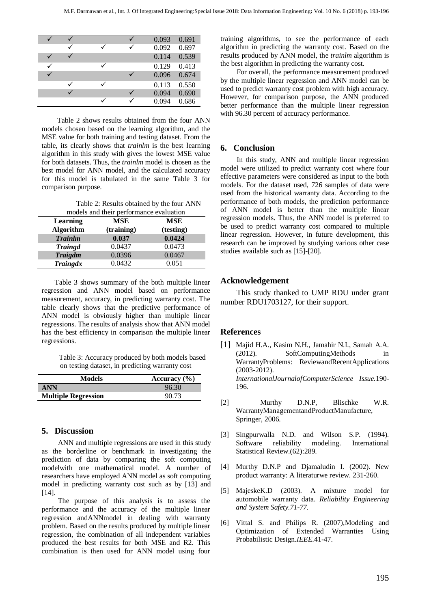|  |  | 0.093 | 0.691 |
|--|--|-------|-------|
|  |  | 0.092 | 0.697 |
|  |  | 0.114 | 0.539 |
|  |  | 0.129 | 0.413 |
|  |  | 0.096 | 0.674 |
|  |  | 0.113 | 0.550 |
|  |  | 0.094 | 0.690 |
|  |  | 0.094 | 0.686 |

Table 2 shows results obtained from the four ANN models chosen based on the learning algorithm, and the MSE value for both training and testing dataset. From the table, its clearly shows that *trainlm* is the best learning algorithm in this study with gives the lowest MSE value for both datasets. Thus, the *trainlm* model is chosen as the best model for ANN model, and the calculated accuracy for this model is tabulated in the same Table 3 for comparison purpose.

Table 2: Results obtained by the four ANN

| models and their performance evaluation |            |            |  |  |  |  |
|-----------------------------------------|------------|------------|--|--|--|--|
| <b>Learning</b>                         | <b>MSE</b> | <b>MSE</b> |  |  |  |  |
| <b>Algorithm</b>                        | (training) | (testing)  |  |  |  |  |
| <b>Trainlm</b>                          | 0.037      | 0.0424     |  |  |  |  |
| <b>Traingd</b>                          | 0.0437     | 0.0473     |  |  |  |  |
| <b>Traigdm</b>                          | 0.0396     | 0.0467     |  |  |  |  |
| <b>Traingdx</b>                         | 0.0432     | 0.051      |  |  |  |  |

Table 3 shows summary of the both multiple linear regression and ANN model based on performance measurement, accuracy, in predicting warranty cost. The table clearly shows that the predictive performance of ANN model is obviously higher than multiple linear regressions. The results of analysis show that ANN model has the best efficiency in comparison the multiple linear regressions.

> Table 3: Accuracy produced by both models based on testing dataset, in predicting warranty cost

| <b>Models</b>              | Accuracy $(\% )$ |
|----------------------------|------------------|
| ANN                        | 96.30            |
| <b>Multiple Regression</b> | 90.73            |

# **5. Discussion**

ANN and multiple regressions are used in this study as the borderline or benchmark in investigating the prediction of data by comparing the soft computing modelwith one mathematical model. A number of researchers have employed ANN model as soft computing model in predicting warranty cost such as by [13] and  $[14]$ .

The purpose of this analysis is to assess the performance and the accuracy of the multiple linear regression andANNmodel in dealing with warranty problem. Based on the results produced by multiple linear regression, the combination of all independent variables produced the best results for both MSE and R2. This combination is then used for ANN model using four

training algorithms, to see the performance of each algorithm in predicting the warranty cost. Based on the results produced by ANN model, the *trainlm* algorithm is the best algorithm in predicting the warranty cost.

For overall, the performance measurement produced by the multiple linear regression and ANN model can be used to predict warranty cost problem with high accuracy. However, for comparison purpose, the ANN produced better performance than the multiple linear regression with 96.30 percent of accuracy performance.

### **6. Conclusion**

In this study, ANN and multiple linear regression model were utilized to predict warranty cost where four effective parameters were considered as input to the both models. For the dataset used, 726 samples of data were used from the historical warranty data. According to the performance of both models, the prediction performance of ANN model is better than the multiple linear regression models. Thus, the ANN model is preferred to be used to predict warranty cost compared to multiple linear regression. However, in future development, this research can be improved by studying various other case studies available such as [15]-[20].

# **Acknowledgement**

This study thanked to [UMP RDU](http://www.ump.edu.my/) under grant number RDU1703127, for their support.

### **References**

- [1] Majid H.A., Kasim N.H., Jamahir N.I., Samah A.A. (2012). SoftComputingMethods in WarrantyProblems: ReviewandRecentApplications (2003-2012). *InternationalJournalofComputerScience Issue.*190- 196.
- [2] Murthy D.N.P, Blischke W.R. WarrantyManagementandProductManufacture, Springer, 2006.
- [3] Singpurwalla N.D. and Wilson S.P. (1994). Software reliability modeling. International Statistical Review.(62):289.
- [4] Murthy D.N.P and Djamaludin I. (2002). New product warranty: A literaturwe review. 231-260.
- [5] MajeskeK.D (2003). A mixture model for automobile warranty data. *Reliability Engineering and System Safety.71-77.*
- [6] Vittal S. and Philips R. (2007),Modeling and Optimization of Extended Warranties Using Probabilistic Design.*IEEE*.41-47.